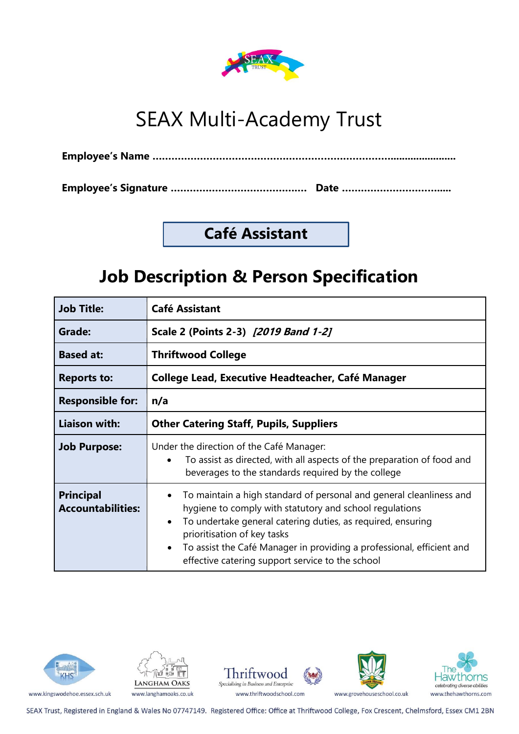

# SEAX Multi-Academy Trust

**Employee's Signature ………………………………….… Date ………………………….....**

### **Café Assistant**

## **Job Description & Person Specification**

| <b>Job Title:</b>                            | <b>Café Assistant</b>                                                                                                                                                                                                                                                                                                                                                  |  |  |  |
|----------------------------------------------|------------------------------------------------------------------------------------------------------------------------------------------------------------------------------------------------------------------------------------------------------------------------------------------------------------------------------------------------------------------------|--|--|--|
| Grade:                                       | Scale 2 (Points 2-3) [2019 Band 1-2]                                                                                                                                                                                                                                                                                                                                   |  |  |  |
| <b>Based at:</b>                             | <b>Thriftwood College</b>                                                                                                                                                                                                                                                                                                                                              |  |  |  |
| <b>Reports to:</b>                           | College Lead, Executive Headteacher, Café Manager                                                                                                                                                                                                                                                                                                                      |  |  |  |
| <b>Responsible for:</b>                      | n/a                                                                                                                                                                                                                                                                                                                                                                    |  |  |  |
| <b>Liaison with:</b>                         | <b>Other Catering Staff, Pupils, Suppliers</b>                                                                                                                                                                                                                                                                                                                         |  |  |  |
| <b>Job Purpose:</b>                          | Under the direction of the Café Manager:<br>To assist as directed, with all aspects of the preparation of food and<br>beverages to the standards required by the college                                                                                                                                                                                               |  |  |  |
| <b>Principal</b><br><b>Accountabilities:</b> | To maintain a high standard of personal and general cleanliness and<br>hygiene to comply with statutory and school regulations<br>To undertake general catering duties, as required, ensuring<br>prioritisation of key tasks<br>To assist the Café Manager in providing a professional, efficient and<br>$\bullet$<br>effective catering support service to the school |  |  |  |





www.kingswodehoe.essex.sch.uk

Thriftwood Specialising in Business and Enterprise www.thriftwoodschool.com



law norns celebrating diverse abilities www.thehawthorns.com

SEAX Trust, Registered in England & Wales No 07747149. Registered Office: Office at Thriftwood College, Fox Crescent, Chelmsford, Essex CM1 2BN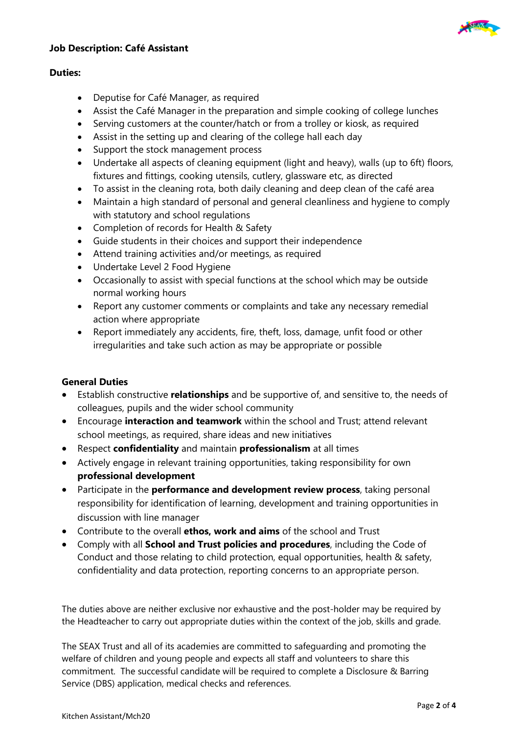



#### **Duties:**

- Deputise for Café Manager, as required
- Assist the Café Manager in the preparation and simple cooking of college lunches
- Serving customers at the counter/hatch or from a trolley or kiosk, as required
- Assist in the setting up and clearing of the college hall each day
- Support the stock management process
- Undertake all aspects of cleaning equipment (light and heavy), walls (up to 6ft) floors, fixtures and fittings, cooking utensils, cutlery, glassware etc, as directed
- To assist in the cleaning rota, both daily cleaning and deep clean of the café area
- Maintain a high standard of personal and general cleanliness and hygiene to comply with statutory and school regulations
- Completion of records for Health & Safety
- Guide students in their choices and support their independence
- Attend training activities and/or meetings, as required
- Undertake Level 2 Food Hygiene
- Occasionally to assist with special functions at the school which may be outside normal working hours
- Report any customer comments or complaints and take any necessary remedial action where appropriate
- Report immediately any accidents, fire, theft, loss, damage, unfit food or other irregularities and take such action as may be appropriate or possible

#### **General Duties**

- Establish constructive **relationships** and be supportive of, and sensitive to, the needs of colleagues, pupils and the wider school community
- Encourage **interaction and teamwork** within the school and Trust; attend relevant school meetings, as required, share ideas and new initiatives
- Respect **confidentiality** and maintain **professionalism** at all times
- Actively engage in relevant training opportunities, taking responsibility for own **professional development**
- Participate in the **performance and development review process**, taking personal responsibility for identification of learning, development and training opportunities in discussion with line manager
- Contribute to the overall **ethos, work and aims** of the school and Trust
- Comply with all **School and Trust policies and procedures**, including the Code of Conduct and those relating to child protection, equal opportunities, health & safety, confidentiality and data protection, reporting concerns to an appropriate person.

The duties above are neither exclusive nor exhaustive and the post-holder may be required by the Headteacher to carry out appropriate duties within the context of the job, skills and grade.

The SEAX Trust and all of its academies are committed to safeguarding and promoting the welfare of children and young people and expects all staff and volunteers to share this commitment. The successful candidate will be required to complete a Disclosure & Barring Service (DBS) application, medical checks and references.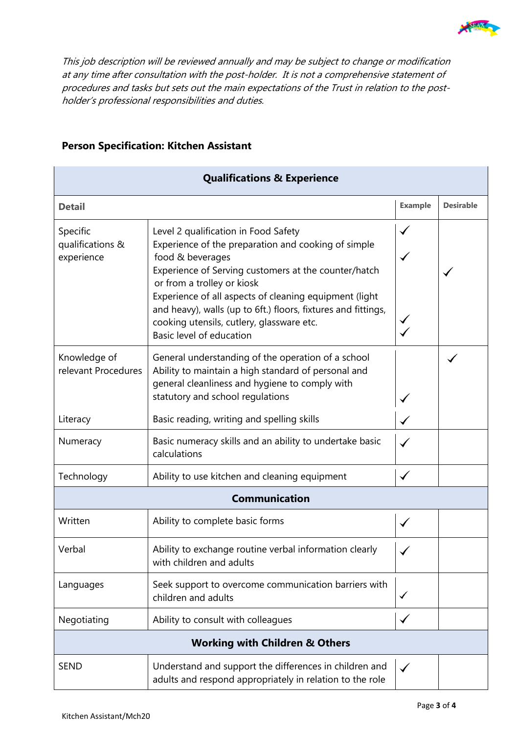

This job description will be reviewed annually and may be subject to change or modification at any time after consultation with the post-holder. It is not a comprehensive statement of procedures and tasks but sets out the main expectations of the Trust in relation to the postholder's professional responsibilities and duties.

| <b>Qualifications &amp; Experience</b>                                                                                                                                                                                                 |                                                                                                                                                                                                                                                                                                                                                                                                           |              |                  |  |  |  |  |
|----------------------------------------------------------------------------------------------------------------------------------------------------------------------------------------------------------------------------------------|-----------------------------------------------------------------------------------------------------------------------------------------------------------------------------------------------------------------------------------------------------------------------------------------------------------------------------------------------------------------------------------------------------------|--------------|------------------|--|--|--|--|
| <b>Detail</b>                                                                                                                                                                                                                          |                                                                                                                                                                                                                                                                                                                                                                                                           |              | <b>Desirable</b> |  |  |  |  |
| Specific<br>qualifications &<br>experience                                                                                                                                                                                             | Level 2 qualification in Food Safety<br>Experience of the preparation and cooking of simple<br>food & beverages<br>Experience of Serving customers at the counter/hatch<br>or from a trolley or kiosk<br>Experience of all aspects of cleaning equipment (light<br>and heavy), walls (up to 6ft.) floors, fixtures and fittings,<br>cooking utensils, cutlery, glassware etc.<br>Basic level of education |              |                  |  |  |  |  |
| General understanding of the operation of a school<br>Knowledge of<br>relevant Procedures<br>Ability to maintain a high standard of personal and<br>general cleanliness and hygiene to comply with<br>statutory and school regulations |                                                                                                                                                                                                                                                                                                                                                                                                           |              |                  |  |  |  |  |
| Literacy                                                                                                                                                                                                                               | Basic reading, writing and spelling skills                                                                                                                                                                                                                                                                                                                                                                |              |                  |  |  |  |  |
| Numeracy                                                                                                                                                                                                                               | Basic numeracy skills and an ability to undertake basic<br>calculations                                                                                                                                                                                                                                                                                                                                   |              |                  |  |  |  |  |
| Technology                                                                                                                                                                                                                             | Ability to use kitchen and cleaning equipment                                                                                                                                                                                                                                                                                                                                                             |              |                  |  |  |  |  |
| <b>Communication</b>                                                                                                                                                                                                                   |                                                                                                                                                                                                                                                                                                                                                                                                           |              |                  |  |  |  |  |
| Written                                                                                                                                                                                                                                | Ability to complete basic forms                                                                                                                                                                                                                                                                                                                                                                           |              |                  |  |  |  |  |
| Verbal                                                                                                                                                                                                                                 | Ability to exchange routine verbal information clearly<br>with children and adults                                                                                                                                                                                                                                                                                                                        |              |                  |  |  |  |  |
| Languages                                                                                                                                                                                                                              | Seek support to overcome communication barriers with<br>children and adults                                                                                                                                                                                                                                                                                                                               |              |                  |  |  |  |  |
| Negotiating                                                                                                                                                                                                                            | Ability to consult with colleagues                                                                                                                                                                                                                                                                                                                                                                        |              |                  |  |  |  |  |
| <b>Working with Children &amp; Others</b>                                                                                                                                                                                              |                                                                                                                                                                                                                                                                                                                                                                                                           |              |                  |  |  |  |  |
| Understand and support the differences in children and<br><b>SEND</b><br>adults and respond appropriately in relation to the role                                                                                                      |                                                                                                                                                                                                                                                                                                                                                                                                           | $\checkmark$ |                  |  |  |  |  |

#### **Person Specification: Kitchen Assistant**